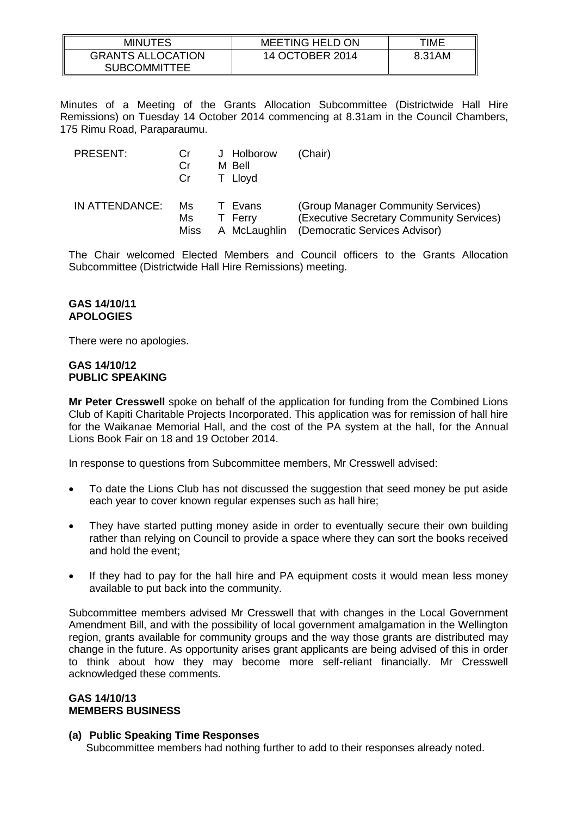| MINUTES                  | <b>MEETING HELD ON</b> | TIME   |
|--------------------------|------------------------|--------|
| <b>GRANTS ALLOCATION</b> | 14 OCTOBER 2014        | 8.31AM |
| <b>SUBCOMMITTEE</b>      |                        |        |

Minutes of a Meeting of the Grants Allocation Subcommittee (Districtwide Hall Hire Remissions) on Tuesday 14 October 2014 commencing at 8.31am in the Council Chambers, 175 Rimu Road, Paraparaumu.

| PRESENT:       | Cr<br>Cr<br>Cr | J Holborow<br>M Bell<br>T Llovd | (Chair)                                  |
|----------------|----------------|---------------------------------|------------------------------------------|
| IN ATTENDANCE: | Ms             | T Evans                         | (Group Manager Community Services)       |
|                | Ms             | T Ferry                         | (Executive Secretary Community Services) |
|                | Miss           | A McLaughlin                    | (Democratic Services Advisor)            |

The Chair welcomed Elected Members and Council officers to the Grants Allocation Subcommittee (Districtwide Hall Hire Remissions) meeting.

## **GAS 14/10/11 APOLOGIES**

There were no apologies.

#### **GAS 14/10/12 PUBLIC SPEAKING**

**Mr Peter Cresswell** spoke on behalf of the application for funding from the Combined Lions Club of Kapiti Charitable Projects Incorporated. This application was for remission of hall hire for the Waikanae Memorial Hall, and the cost of the PA system at the hall, for the Annual Lions Book Fair on 18 and 19 October 2014.

In response to questions from Subcommittee members, Mr Cresswell advised:

- To date the Lions Club has not discussed the suggestion that seed money be put aside each year to cover known regular expenses such as hall hire;
- They have started putting money aside in order to eventually secure their own building rather than relying on Council to provide a space where they can sort the books received and hold the event;
- If they had to pay for the hall hire and PA equipment costs it would mean less money available to put back into the community.

Subcommittee members advised Mr Cresswell that with changes in the Local Government Amendment Bill, and with the possibility of local government amalgamation in the Wellington region, grants available for community groups and the way those grants are distributed may change in the future. As opportunity arises grant applicants are being advised of this in order to think about how they may become more self-reliant financially. Mr Cresswell acknowledged these comments.

## **GAS 14/10/13 MEMBERS BUSINESS**

## **(a) Public Speaking Time Responses**

Subcommittee members had nothing further to add to their responses already noted.